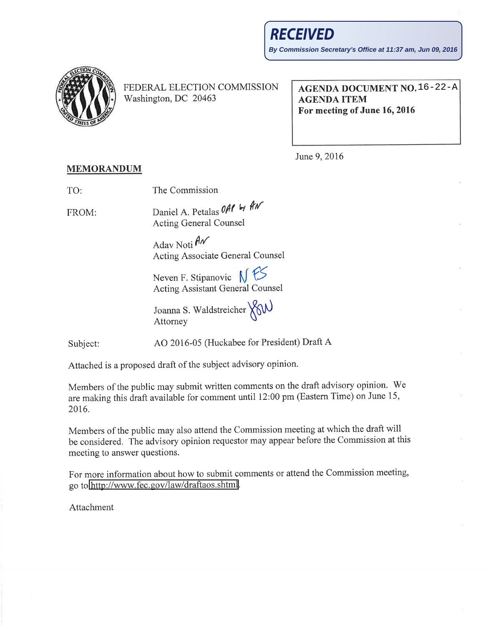

FEDERAL ELECTION COMMISSION Washington, DC 20463

AGENDA DOCUMENT NO. 16-22-AAGENDA ITEM For meeting of June 16,2016

June 9, 2016

## MEMORANDUM

| TO:   | The Commission              |  |
|-------|-----------------------------|--|
| FROM: | Daniel A. Petalas OAP by AN |  |

FROM: Acting General Counsel

> Adav Noti  $\hat{H}$ Acting Associate General Counsel

Neven F. Stipanovic  $N$   $55$ Acting Assistant General Counsel

Joanna S. Waldstreicher XXW Attorney

Subject: AO 2016-05 (Huckabee for President) Draft A

Attached is a proposed draft of the subject advisory opinion.

Members of the public may submit written comments on the draft advisory opinion. 'We are making this draft available for comment until 12:00 pm (Eastern Time) on June 15, 2016.

Members of the public may also attend the Commission meeting at which the draft will be considered. The advisory opinion requestor may appear before the Commission at this meeting to answer questions.

For more information about how to submit comments or attend the Commission meeting, go to http://www.fec.gov/law/draftaos.shtml.

Attachment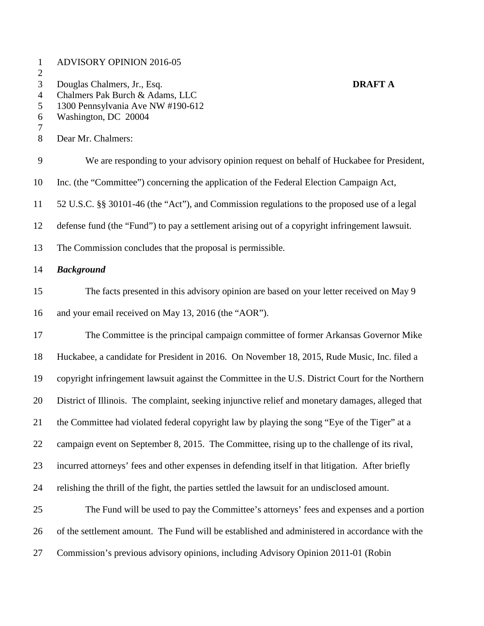| $\mathbf{1}$<br>$\overline{c}$ | <b>ADVISORY OPINION 2016-05</b>                                                                   |                |
|--------------------------------|---------------------------------------------------------------------------------------------------|----------------|
| 3<br>$\overline{4}$            | Douglas Chalmers, Jr., Esq.<br>Chalmers Pak Burch & Adams, LLC                                    | <b>DRAFT A</b> |
| 5                              | 1300 Pennsylvania Ave NW #190-612<br>Washington, DC 20004                                         |                |
| 6<br>7                         |                                                                                                   |                |
| 8                              | Dear Mr. Chalmers:                                                                                |                |
| 9                              | We are responding to your advisory opinion request on behalf of Huckabee for President,           |                |
| 10                             | Inc. (the "Committee") concerning the application of the Federal Election Campaign Act,           |                |
| 11                             | 52 U.S.C. §§ 30101-46 (the "Act"), and Commission regulations to the proposed use of a legal      |                |
| 12                             | defense fund (the "Fund") to pay a settlement arising out of a copyright infringement lawsuit.    |                |
| 13                             | The Commission concludes that the proposal is permissible.                                        |                |
| 14                             | <b>Background</b>                                                                                 |                |
| 15                             | The facts presented in this advisory opinion are based on your letter received on May 9           |                |
| 16                             | and your email received on May 13, 2016 (the "AOR").                                              |                |
| 17                             | The Committee is the principal campaign committee of former Arkansas Governor Mike                |                |
| 18                             | Huckabee, a candidate for President in 2016. On November 18, 2015, Rude Music, Inc. filed a       |                |
| 19                             | copyright infringement lawsuit against the Committee in the U.S. District Court for the Northern  |                |
| 20                             | District of Illinois. The complaint, seeking injunctive relief and monetary damages, alleged that |                |
| 21                             | the Committee had violated federal copyright law by playing the song "Eye of the Tiger" at a      |                |
| 22                             | campaign event on September 8, 2015. The Committee, rising up to the challenge of its rival,      |                |
| 23                             | incurred attorneys' fees and other expenses in defending itself in that litigation. After briefly |                |
| 24                             | relishing the thrill of the fight, the parties settled the lawsuit for an undisclosed amount.     |                |
| 25                             | The Fund will be used to pay the Committee's attorneys' fees and expenses and a portion           |                |
| 26                             | of the settlement amount. The Fund will be established and administered in accordance with the    |                |
| 27                             | Commission's previous advisory opinions, including Advisory Opinion 2011-01 (Robin                |                |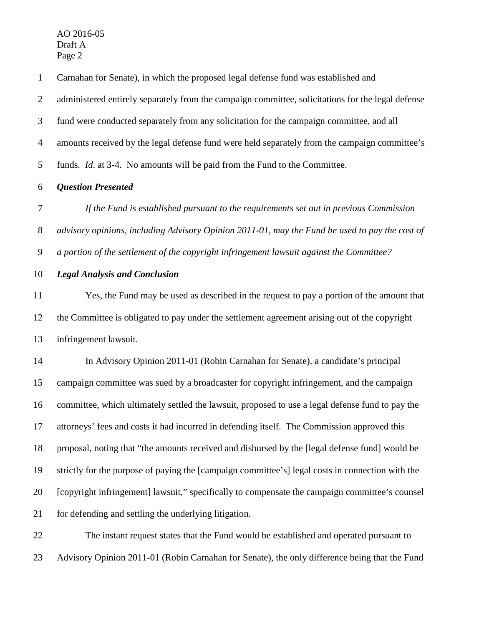AO 2016-05 Draft A Page 2

 Carnahan for Senate), in which the proposed legal defense fund was established and administered entirely separately from the campaign committee, solicitations for the legal defense fund were conducted separately from any solicitation for the campaign committee, and all amounts received by the legal defense fund were held separately from the campaign committee's funds*. Id*. at 3-4. No amounts will be paid from the Fund to the Committee.

## *Question Presented*

 *If the Fund is established pursuant to the requirements set out in previous Commission advisory opinions, including Advisory Opinion 2011-01, may the Fund be used to pay the cost of a portion of the settlement of the copyright infringement lawsuit against the Committee?*

## *Legal Analysis and Conclusion*

 Yes, the Fund may be used as described in the request to pay a portion of the amount that the Committee is obligated to pay under the settlement agreement arising out of the copyright infringement lawsuit.

 In Advisory Opinion 2011-01 (Robin Carnahan for Senate), a candidate's principal campaign committee was sued by a broadcaster for copyright infringement, and the campaign committee, which ultimately settled the lawsuit, proposed to use a legal defense fund to pay the attorneys' fees and costs it had incurred in defending itself. The Commission approved this proposal, noting that "the amounts received and disbursed by the [legal defense fund] would be strictly for the purpose of paying the [campaign committee's] legal costs in connection with the [copyright infringement] lawsuit," specifically to compensate the campaign committee's counsel for defending and settling the underlying litigation.

 The instant request states that the Fund would be established and operated pursuant to Advisory Opinion 2011-01 (Robin Carnahan for Senate), the only difference being that the Fund